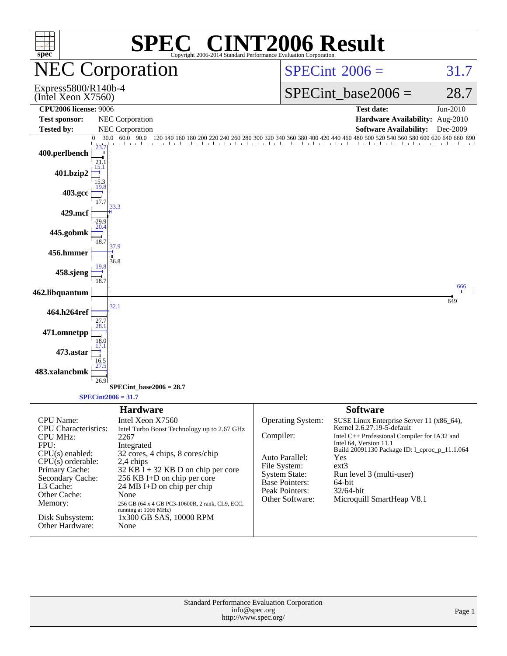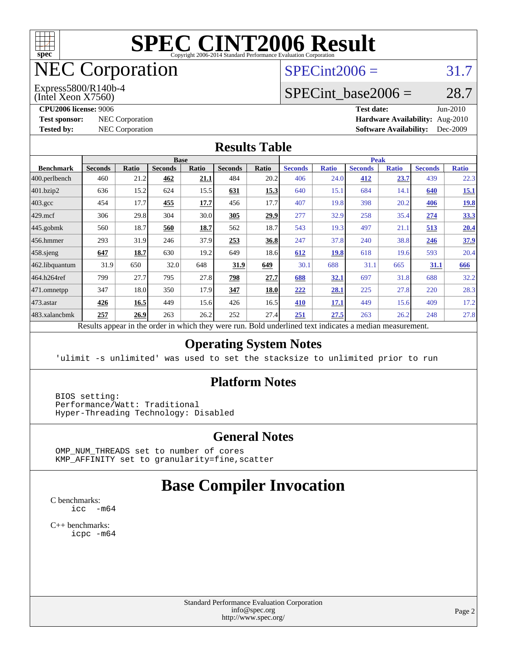

# NEC Corporation

(Intel Xeon X7560) Express5800/R140b-4  $SPECint2006 = 31.7$  $SPECint2006 = 31.7$ 

# SPECint base2006 =  $28.7$

**[CPU2006 license:](http://www.spec.org/auto/cpu2006/Docs/result-fields.html#CPU2006license)** 9006 **[Test date:](http://www.spec.org/auto/cpu2006/Docs/result-fields.html#Testdate)** Jun-2010

**[Test sponsor:](http://www.spec.org/auto/cpu2006/Docs/result-fields.html#Testsponsor)** NEC Corporation **[Hardware Availability:](http://www.spec.org/auto/cpu2006/Docs/result-fields.html#HardwareAvailability)** Aug-2010 **[Tested by:](http://www.spec.org/auto/cpu2006/Docs/result-fields.html#Testedby)** NEC Corporation **[Software Availability:](http://www.spec.org/auto/cpu2006/Docs/result-fields.html#SoftwareAvailability)** Dec-2009

#### **[Results Table](http://www.spec.org/auto/cpu2006/Docs/result-fields.html#ResultsTable)**

|                    | <b>Base</b>                                                                                              |       |                |       |                |       |                | <b>Peak</b>  |                |              |                |              |  |
|--------------------|----------------------------------------------------------------------------------------------------------|-------|----------------|-------|----------------|-------|----------------|--------------|----------------|--------------|----------------|--------------|--|
| <b>Benchmark</b>   | <b>Seconds</b>                                                                                           | Ratio | <b>Seconds</b> | Ratio | <b>Seconds</b> | Ratio | <b>Seconds</b> | <b>Ratio</b> | <b>Seconds</b> | <b>Ratio</b> | <b>Seconds</b> | <b>Ratio</b> |  |
| $400.$ perlbench   | 460                                                                                                      | 21.2  | 462            | 21.1  | 484            | 20.2  | 406            | 24.0         | 412            | 23.7         | 439            | 22.3         |  |
| 401.bzip2          | 636                                                                                                      | 15.2  | 624            | 15.5  | <u>631</u>     | 15.3  | 640            | 15.1         | 684            | 14.1         | 640            | <u>15.1</u>  |  |
| $403.\mathrm{gcc}$ | 454                                                                                                      | 17.7  | 455            | 17.7  | 456            | 17.7  | 407            | 19.8         | 398            | 20.2         | 406            | <u>19.8</u>  |  |
| $429$ .mcf         | 306                                                                                                      | 29.8  | 304            | 30.0  | 305            | 29.9  | 277            | 32.9         | 258            | 35.4         | 274            | 33.3         |  |
| $445$ .gobmk       | 560                                                                                                      | 18.7  | 560            | 18.7  | 562            | 18.7  | 543            | 19.3         | 497            | 21.1         | 513            | 20.4         |  |
| 456.hmmer          | 293                                                                                                      | 31.9  | 246            | 37.9  | 253            | 36.8  | 247            | 37.8         | 240            | 38.8         | 246            | 37.9         |  |
| $458$ .sjeng       | 647                                                                                                      | 18.7  | 630            | 19.2  | 649            | 18.6  | 612            | <b>19.8</b>  | 618            | 19.6         | 593            | 20.4         |  |
| 462.libquantum     | 31.9                                                                                                     | 650   | 32.0           | 648   | 31.9           | 649   | 30.1           | 688          | 31.1           | 665          | 31.1           | 666          |  |
| 464.h264ref        | 799                                                                                                      | 27.7  | 795            | 27.8  | 798            | 27.7  | 688            | <u>32.1</u>  | 697            | 31.8         | 688            | 32.2         |  |
| 471.omnetpp        | 347                                                                                                      | 18.0  | 350            | 17.9  | 347            | 18.0  | 222            | 28.1         | 225            | 27.8         | 220            | 28.3         |  |
| $473$ . astar      | 426                                                                                                      | 16.5  | 449            | 15.6  | 426            | 16.5  | 410            | 17.1         | 449            | 15.6         | 409            | 17.2         |  |
| 483.xalancbmk      | 257                                                                                                      | 26.9  | 263            | 26.2  | 252            | 27.4  | 251            | 27.5         | 263            | 26.2         | 248            | 27.8         |  |
|                    | Results appear in the order in which they were run. Bold underlined text indicates a median measurement. |       |                |       |                |       |                |              |                |              |                |              |  |

#### **[Operating System Notes](http://www.spec.org/auto/cpu2006/Docs/result-fields.html#OperatingSystemNotes)**

'ulimit -s unlimited' was used to set the stacksize to unlimited prior to run

#### **[Platform Notes](http://www.spec.org/auto/cpu2006/Docs/result-fields.html#PlatformNotes)**

 BIOS setting: Performance/Watt: Traditional Hyper-Threading Technology: Disabled

#### **[General Notes](http://www.spec.org/auto/cpu2006/Docs/result-fields.html#GeneralNotes)**

 OMP\_NUM\_THREADS set to number of cores KMP\_AFFINITY set to granularity=fine,scatter

## **[Base Compiler Invocation](http://www.spec.org/auto/cpu2006/Docs/result-fields.html#BaseCompilerInvocation)**

[C benchmarks](http://www.spec.org/auto/cpu2006/Docs/result-fields.html#Cbenchmarks): [icc -m64](http://www.spec.org/cpu2006/results/res2010q3/cpu2006-20100727-12631.flags.html#user_CCbase_intel_icc_64bit_f346026e86af2a669e726fe758c88044)

[C++ benchmarks:](http://www.spec.org/auto/cpu2006/Docs/result-fields.html#CXXbenchmarks) [icpc -m64](http://www.spec.org/cpu2006/results/res2010q3/cpu2006-20100727-12631.flags.html#user_CXXbase_intel_icpc_64bit_fc66a5337ce925472a5c54ad6a0de310)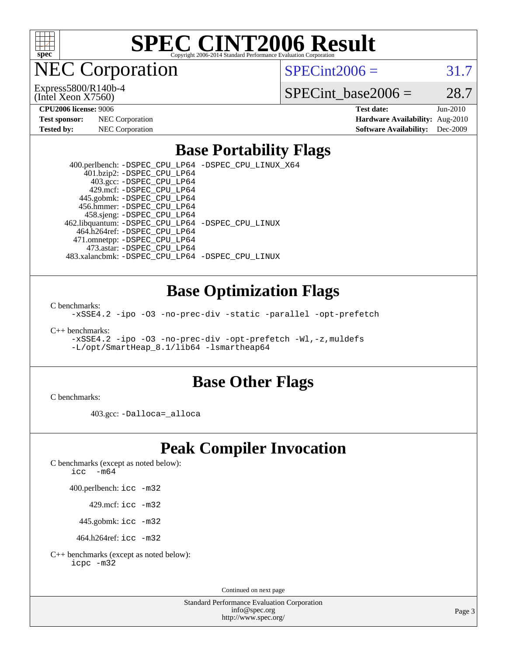

NEC Corporation

(Intel Xeon X7560) Express5800/R140b-4  $SPECint2006 = 31.7$  $SPECint2006 = 31.7$ 

SPECint base2006 =  $28.7$ 

| <b>Test sponsor:</b> | NEC Corporation |
|----------------------|-----------------|
| Tested by:           | NEC Corporation |

**[CPU2006 license:](http://www.spec.org/auto/cpu2006/Docs/result-fields.html#CPU2006license)** 9006 **[Test date:](http://www.spec.org/auto/cpu2006/Docs/result-fields.html#Testdate)** Jun-2010 **[Hardware Availability:](http://www.spec.org/auto/cpu2006/Docs/result-fields.html#HardwareAvailability)** Aug-2010 **[Software Availability:](http://www.spec.org/auto/cpu2006/Docs/result-fields.html#SoftwareAvailability)** Dec-2009

### **[Base Portability Flags](http://www.spec.org/auto/cpu2006/Docs/result-fields.html#BasePortabilityFlags)**

 400.perlbench: [-DSPEC\\_CPU\\_LP64](http://www.spec.org/cpu2006/results/res2010q3/cpu2006-20100727-12631.flags.html#b400.perlbench_basePORTABILITY_DSPEC_CPU_LP64) [-DSPEC\\_CPU\\_LINUX\\_X64](http://www.spec.org/cpu2006/results/res2010q3/cpu2006-20100727-12631.flags.html#b400.perlbench_baseCPORTABILITY_DSPEC_CPU_LINUX_X64) 401.bzip2: [-DSPEC\\_CPU\\_LP64](http://www.spec.org/cpu2006/results/res2010q3/cpu2006-20100727-12631.flags.html#suite_basePORTABILITY401_bzip2_DSPEC_CPU_LP64) 403.gcc: [-DSPEC\\_CPU\\_LP64](http://www.spec.org/cpu2006/results/res2010q3/cpu2006-20100727-12631.flags.html#suite_basePORTABILITY403_gcc_DSPEC_CPU_LP64) 429.mcf: [-DSPEC\\_CPU\\_LP64](http://www.spec.org/cpu2006/results/res2010q3/cpu2006-20100727-12631.flags.html#suite_basePORTABILITY429_mcf_DSPEC_CPU_LP64) 445.gobmk: [-DSPEC\\_CPU\\_LP64](http://www.spec.org/cpu2006/results/res2010q3/cpu2006-20100727-12631.flags.html#suite_basePORTABILITY445_gobmk_DSPEC_CPU_LP64) 456.hmmer: [-DSPEC\\_CPU\\_LP64](http://www.spec.org/cpu2006/results/res2010q3/cpu2006-20100727-12631.flags.html#suite_basePORTABILITY456_hmmer_DSPEC_CPU_LP64) 458.sjeng: [-DSPEC\\_CPU\\_LP64](http://www.spec.org/cpu2006/results/res2010q3/cpu2006-20100727-12631.flags.html#suite_basePORTABILITY458_sjeng_DSPEC_CPU_LP64) 462.libquantum: [-DSPEC\\_CPU\\_LP64](http://www.spec.org/cpu2006/results/res2010q3/cpu2006-20100727-12631.flags.html#suite_basePORTABILITY462_libquantum_DSPEC_CPU_LP64) [-DSPEC\\_CPU\\_LINUX](http://www.spec.org/cpu2006/results/res2010q3/cpu2006-20100727-12631.flags.html#b462.libquantum_baseCPORTABILITY_DSPEC_CPU_LINUX) 464.h264ref: [-DSPEC\\_CPU\\_LP64](http://www.spec.org/cpu2006/results/res2010q3/cpu2006-20100727-12631.flags.html#suite_basePORTABILITY464_h264ref_DSPEC_CPU_LP64) 471.omnetpp: [-DSPEC\\_CPU\\_LP64](http://www.spec.org/cpu2006/results/res2010q3/cpu2006-20100727-12631.flags.html#suite_basePORTABILITY471_omnetpp_DSPEC_CPU_LP64) 473.astar: [-DSPEC\\_CPU\\_LP64](http://www.spec.org/cpu2006/results/res2010q3/cpu2006-20100727-12631.flags.html#suite_basePORTABILITY473_astar_DSPEC_CPU_LP64) 483.xalancbmk: [-DSPEC\\_CPU\\_LP64](http://www.spec.org/cpu2006/results/res2010q3/cpu2006-20100727-12631.flags.html#suite_basePORTABILITY483_xalancbmk_DSPEC_CPU_LP64) [-DSPEC\\_CPU\\_LINUX](http://www.spec.org/cpu2006/results/res2010q3/cpu2006-20100727-12631.flags.html#b483.xalancbmk_baseCXXPORTABILITY_DSPEC_CPU_LINUX)

### **[Base Optimization Flags](http://www.spec.org/auto/cpu2006/Docs/result-fields.html#BaseOptimizationFlags)**

[C benchmarks](http://www.spec.org/auto/cpu2006/Docs/result-fields.html#Cbenchmarks):

[-xSSE4.2](http://www.spec.org/cpu2006/results/res2010q3/cpu2006-20100727-12631.flags.html#user_CCbase_f-xSSE42_f91528193cf0b216347adb8b939d4107) [-ipo](http://www.spec.org/cpu2006/results/res2010q3/cpu2006-20100727-12631.flags.html#user_CCbase_f-ipo) [-O3](http://www.spec.org/cpu2006/results/res2010q3/cpu2006-20100727-12631.flags.html#user_CCbase_f-O3) [-no-prec-div](http://www.spec.org/cpu2006/results/res2010q3/cpu2006-20100727-12631.flags.html#user_CCbase_f-no-prec-div) [-static](http://www.spec.org/cpu2006/results/res2010q3/cpu2006-20100727-12631.flags.html#user_CCbase_f-static) [-parallel](http://www.spec.org/cpu2006/results/res2010q3/cpu2006-20100727-12631.flags.html#user_CCbase_f-parallel) [-opt-prefetch](http://www.spec.org/cpu2006/results/res2010q3/cpu2006-20100727-12631.flags.html#user_CCbase_f-opt-prefetch)

[C++ benchmarks:](http://www.spec.org/auto/cpu2006/Docs/result-fields.html#CXXbenchmarks)

[-xSSE4.2](http://www.spec.org/cpu2006/results/res2010q3/cpu2006-20100727-12631.flags.html#user_CXXbase_f-xSSE42_f91528193cf0b216347adb8b939d4107) [-ipo](http://www.spec.org/cpu2006/results/res2010q3/cpu2006-20100727-12631.flags.html#user_CXXbase_f-ipo) [-O3](http://www.spec.org/cpu2006/results/res2010q3/cpu2006-20100727-12631.flags.html#user_CXXbase_f-O3) [-no-prec-div](http://www.spec.org/cpu2006/results/res2010q3/cpu2006-20100727-12631.flags.html#user_CXXbase_f-no-prec-div) [-opt-prefetch](http://www.spec.org/cpu2006/results/res2010q3/cpu2006-20100727-12631.flags.html#user_CXXbase_f-opt-prefetch) [-Wl,-z,muldefs](http://www.spec.org/cpu2006/results/res2010q3/cpu2006-20100727-12631.flags.html#user_CXXbase_link_force_multiple1_74079c344b956b9658436fd1b6dd3a8a) [-L/opt/SmartHeap\\_8.1/lib64 -lsmartheap64](http://www.spec.org/cpu2006/results/res2010q3/cpu2006-20100727-12631.flags.html#user_CXXbase_SmartHeap64_7ff9c3d8ca51c2767359d6aa2f519d77)

### **[Base Other Flags](http://www.spec.org/auto/cpu2006/Docs/result-fields.html#BaseOtherFlags)**

[C benchmarks](http://www.spec.org/auto/cpu2006/Docs/result-fields.html#Cbenchmarks):

403.gcc: [-Dalloca=\\_alloca](http://www.spec.org/cpu2006/results/res2010q3/cpu2006-20100727-12631.flags.html#b403.gcc_baseEXTRA_CFLAGS_Dalloca_be3056838c12de2578596ca5467af7f3)

# **[Peak Compiler Invocation](http://www.spec.org/auto/cpu2006/Docs/result-fields.html#PeakCompilerInvocation)**

[C benchmarks \(except as noted below\)](http://www.spec.org/auto/cpu2006/Docs/result-fields.html#Cbenchmarksexceptasnotedbelow):

[icc -m64](http://www.spec.org/cpu2006/results/res2010q3/cpu2006-20100727-12631.flags.html#user_CCpeak_intel_icc_64bit_f346026e86af2a669e726fe758c88044)

400.perlbench: [icc -m32](http://www.spec.org/cpu2006/results/res2010q3/cpu2006-20100727-12631.flags.html#user_peakCCLD400_perlbench_intel_icc_32bit_a6a621f8d50482236b970c6ac5f55f93)

429.mcf: [icc -m32](http://www.spec.org/cpu2006/results/res2010q3/cpu2006-20100727-12631.flags.html#user_peakCCLD429_mcf_intel_icc_32bit_a6a621f8d50482236b970c6ac5f55f93)

445.gobmk: [icc -m32](http://www.spec.org/cpu2006/results/res2010q3/cpu2006-20100727-12631.flags.html#user_peakCCLD445_gobmk_intel_icc_32bit_a6a621f8d50482236b970c6ac5f55f93)

464.h264ref: [icc -m32](http://www.spec.org/cpu2006/results/res2010q3/cpu2006-20100727-12631.flags.html#user_peakCCLD464_h264ref_intel_icc_32bit_a6a621f8d50482236b970c6ac5f55f93)

[C++ benchmarks \(except as noted below\):](http://www.spec.org/auto/cpu2006/Docs/result-fields.html#CXXbenchmarksexceptasnotedbelow) [icpc -m32](http://www.spec.org/cpu2006/results/res2010q3/cpu2006-20100727-12631.flags.html#user_CXXpeak_intel_icpc_32bit_4e5a5ef1a53fd332b3c49e69c3330699)

Continued on next page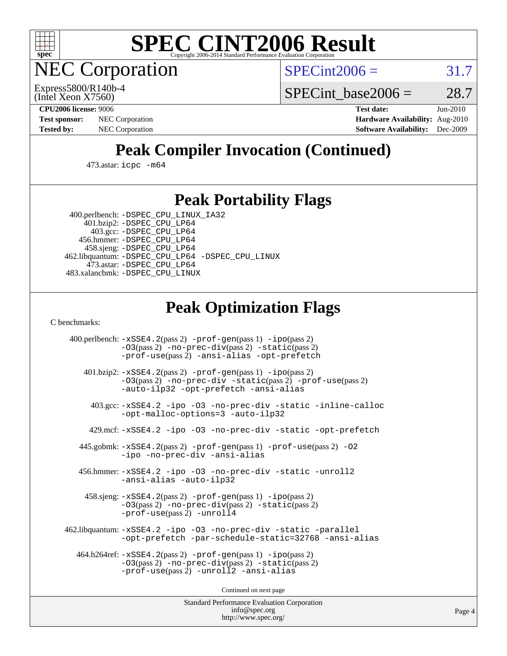

**EC Corporation** 

 $SPECint2006 = 31.7$  $SPECint2006 = 31.7$ 

(Intel Xeon X7560) Express5800/R140b-4 SPECint base2006 =  $28.7$ 

**[CPU2006 license:](http://www.spec.org/auto/cpu2006/Docs/result-fields.html#CPU2006license)** 9006 **[Test date:](http://www.spec.org/auto/cpu2006/Docs/result-fields.html#Testdate)** Jun-2010 **[Test sponsor:](http://www.spec.org/auto/cpu2006/Docs/result-fields.html#Testsponsor)** NEC Corporation **[Hardware Availability:](http://www.spec.org/auto/cpu2006/Docs/result-fields.html#HardwareAvailability)** Aug-2010 **[Tested by:](http://www.spec.org/auto/cpu2006/Docs/result-fields.html#Testedby)** NEC Corporation **[Software Availability:](http://www.spec.org/auto/cpu2006/Docs/result-fields.html#SoftwareAvailability)** Dec-2009

# **[Peak Compiler Invocation \(Continued\)](http://www.spec.org/auto/cpu2006/Docs/result-fields.html#PeakCompilerInvocation)**

473.astar: [icpc -m64](http://www.spec.org/cpu2006/results/res2010q3/cpu2006-20100727-12631.flags.html#user_peakCXXLD473_astar_intel_icpc_64bit_fc66a5337ce925472a5c54ad6a0de310)

## **[Peak Portability Flags](http://www.spec.org/auto/cpu2006/Docs/result-fields.html#PeakPortabilityFlags)**

 400.perlbench: [-DSPEC\\_CPU\\_LINUX\\_IA32](http://www.spec.org/cpu2006/results/res2010q3/cpu2006-20100727-12631.flags.html#b400.perlbench_peakCPORTABILITY_DSPEC_CPU_LINUX_IA32) 401.bzip2: [-DSPEC\\_CPU\\_LP64](http://www.spec.org/cpu2006/results/res2010q3/cpu2006-20100727-12631.flags.html#suite_peakPORTABILITY401_bzip2_DSPEC_CPU_LP64)

 403.gcc: [-DSPEC\\_CPU\\_LP64](http://www.spec.org/cpu2006/results/res2010q3/cpu2006-20100727-12631.flags.html#suite_peakPORTABILITY403_gcc_DSPEC_CPU_LP64) 456.hmmer: [-DSPEC\\_CPU\\_LP64](http://www.spec.org/cpu2006/results/res2010q3/cpu2006-20100727-12631.flags.html#suite_peakPORTABILITY456_hmmer_DSPEC_CPU_LP64) 458.sjeng: [-DSPEC\\_CPU\\_LP64](http://www.spec.org/cpu2006/results/res2010q3/cpu2006-20100727-12631.flags.html#suite_peakPORTABILITY458_sjeng_DSPEC_CPU_LP64) 462.libquantum: [-DSPEC\\_CPU\\_LP64](http://www.spec.org/cpu2006/results/res2010q3/cpu2006-20100727-12631.flags.html#suite_peakPORTABILITY462_libquantum_DSPEC_CPU_LP64) [-DSPEC\\_CPU\\_LINUX](http://www.spec.org/cpu2006/results/res2010q3/cpu2006-20100727-12631.flags.html#b462.libquantum_peakCPORTABILITY_DSPEC_CPU_LINUX) 473.astar: [-DSPEC\\_CPU\\_LP64](http://www.spec.org/cpu2006/results/res2010q3/cpu2006-20100727-12631.flags.html#suite_peakPORTABILITY473_astar_DSPEC_CPU_LP64) 483.xalancbmk: [-DSPEC\\_CPU\\_LINUX](http://www.spec.org/cpu2006/results/res2010q3/cpu2006-20100727-12631.flags.html#b483.xalancbmk_peakCXXPORTABILITY_DSPEC_CPU_LINUX)

# **[Peak Optimization Flags](http://www.spec.org/auto/cpu2006/Docs/result-fields.html#PeakOptimizationFlags)**

[C benchmarks](http://www.spec.org/auto/cpu2006/Docs/result-fields.html#Cbenchmarks):

 400.perlbench: [-xSSE4.2](http://www.spec.org/cpu2006/results/res2010q3/cpu2006-20100727-12631.flags.html#user_peakPASS2_CFLAGSPASS2_LDCFLAGS400_perlbench_f-xSSE42_f91528193cf0b216347adb8b939d4107)(pass 2) [-prof-gen](http://www.spec.org/cpu2006/results/res2010q3/cpu2006-20100727-12631.flags.html#user_peakPASS1_CFLAGSPASS1_LDCFLAGS400_perlbench_prof_gen_e43856698f6ca7b7e442dfd80e94a8fc)(pass 1) [-ipo](http://www.spec.org/cpu2006/results/res2010q3/cpu2006-20100727-12631.flags.html#user_peakPASS2_CFLAGSPASS2_LDCFLAGS400_perlbench_f-ipo)(pass 2) [-O3](http://www.spec.org/cpu2006/results/res2010q3/cpu2006-20100727-12631.flags.html#user_peakPASS2_CFLAGSPASS2_LDCFLAGS400_perlbench_f-O3)(pass 2) [-no-prec-div](http://www.spec.org/cpu2006/results/res2010q3/cpu2006-20100727-12631.flags.html#user_peakPASS2_CFLAGSPASS2_LDCFLAGS400_perlbench_f-no-prec-div)(pass 2) [-static](http://www.spec.org/cpu2006/results/res2010q3/cpu2006-20100727-12631.flags.html#user_peakPASS2_CFLAGSPASS2_LDCFLAGS400_perlbench_f-static)(pass 2) [-prof-use](http://www.spec.org/cpu2006/results/res2010q3/cpu2006-20100727-12631.flags.html#user_peakPASS2_CFLAGSPASS2_LDCFLAGS400_perlbench_prof_use_bccf7792157ff70d64e32fe3e1250b55)(pass 2) [-ansi-alias](http://www.spec.org/cpu2006/results/res2010q3/cpu2006-20100727-12631.flags.html#user_peakCOPTIMIZE400_perlbench_f-ansi-alias) [-opt-prefetch](http://www.spec.org/cpu2006/results/res2010q3/cpu2006-20100727-12631.flags.html#user_peakCOPTIMIZE400_perlbench_f-opt-prefetch) 401.bzip2: [-xSSE4.2](http://www.spec.org/cpu2006/results/res2010q3/cpu2006-20100727-12631.flags.html#user_peakPASS2_CFLAGSPASS2_LDCFLAGS401_bzip2_f-xSSE42_f91528193cf0b216347adb8b939d4107)(pass 2) [-prof-gen](http://www.spec.org/cpu2006/results/res2010q3/cpu2006-20100727-12631.flags.html#user_peakPASS1_CFLAGSPASS1_LDCFLAGS401_bzip2_prof_gen_e43856698f6ca7b7e442dfd80e94a8fc)(pass 1) [-ipo](http://www.spec.org/cpu2006/results/res2010q3/cpu2006-20100727-12631.flags.html#user_peakPASS2_CFLAGSPASS2_LDCFLAGS401_bzip2_f-ipo)(pass 2) [-O3](http://www.spec.org/cpu2006/results/res2010q3/cpu2006-20100727-12631.flags.html#user_peakPASS2_CFLAGSPASS2_LDCFLAGS401_bzip2_f-O3)(pass 2) [-no-prec-div](http://www.spec.org/cpu2006/results/res2010q3/cpu2006-20100727-12631.flags.html#user_peakCOPTIMIZEPASS2_CFLAGSPASS2_LDCFLAGS401_bzip2_f-no-prec-div) [-static](http://www.spec.org/cpu2006/results/res2010q3/cpu2006-20100727-12631.flags.html#user_peakPASS2_CFLAGSPASS2_LDCFLAGS401_bzip2_f-static)(pass 2) [-prof-use](http://www.spec.org/cpu2006/results/res2010q3/cpu2006-20100727-12631.flags.html#user_peakPASS2_CFLAGSPASS2_LDCFLAGS401_bzip2_prof_use_bccf7792157ff70d64e32fe3e1250b55)(pass 2) [-auto-ilp32](http://www.spec.org/cpu2006/results/res2010q3/cpu2006-20100727-12631.flags.html#user_peakCOPTIMIZE401_bzip2_f-auto-ilp32) [-opt-prefetch](http://www.spec.org/cpu2006/results/res2010q3/cpu2006-20100727-12631.flags.html#user_peakCOPTIMIZE401_bzip2_f-opt-prefetch) [-ansi-alias](http://www.spec.org/cpu2006/results/res2010q3/cpu2006-20100727-12631.flags.html#user_peakCOPTIMIZE401_bzip2_f-ansi-alias) 403.gcc: [-xSSE4.2](http://www.spec.org/cpu2006/results/res2010q3/cpu2006-20100727-12631.flags.html#user_peakCOPTIMIZE403_gcc_f-xSSE42_f91528193cf0b216347adb8b939d4107) [-ipo](http://www.spec.org/cpu2006/results/res2010q3/cpu2006-20100727-12631.flags.html#user_peakCOPTIMIZE403_gcc_f-ipo) [-O3](http://www.spec.org/cpu2006/results/res2010q3/cpu2006-20100727-12631.flags.html#user_peakCOPTIMIZE403_gcc_f-O3) [-no-prec-div](http://www.spec.org/cpu2006/results/res2010q3/cpu2006-20100727-12631.flags.html#user_peakCOPTIMIZE403_gcc_f-no-prec-div) [-static](http://www.spec.org/cpu2006/results/res2010q3/cpu2006-20100727-12631.flags.html#user_peakCOPTIMIZE403_gcc_f-static) [-inline-calloc](http://www.spec.org/cpu2006/results/res2010q3/cpu2006-20100727-12631.flags.html#user_peakCOPTIMIZE403_gcc_f-inline-calloc) [-opt-malloc-options=3](http://www.spec.org/cpu2006/results/res2010q3/cpu2006-20100727-12631.flags.html#user_peakCOPTIMIZE403_gcc_f-opt-malloc-options_13ab9b803cf986b4ee62f0a5998c2238) [-auto-ilp32](http://www.spec.org/cpu2006/results/res2010q3/cpu2006-20100727-12631.flags.html#user_peakCOPTIMIZE403_gcc_f-auto-ilp32) 429.mcf: [-xSSE4.2](http://www.spec.org/cpu2006/results/res2010q3/cpu2006-20100727-12631.flags.html#user_peakCOPTIMIZE429_mcf_f-xSSE42_f91528193cf0b216347adb8b939d4107) [-ipo](http://www.spec.org/cpu2006/results/res2010q3/cpu2006-20100727-12631.flags.html#user_peakCOPTIMIZE429_mcf_f-ipo) [-O3](http://www.spec.org/cpu2006/results/res2010q3/cpu2006-20100727-12631.flags.html#user_peakCOPTIMIZE429_mcf_f-O3) [-no-prec-div](http://www.spec.org/cpu2006/results/res2010q3/cpu2006-20100727-12631.flags.html#user_peakCOPTIMIZE429_mcf_f-no-prec-div) [-static](http://www.spec.org/cpu2006/results/res2010q3/cpu2006-20100727-12631.flags.html#user_peakCOPTIMIZE429_mcf_f-static) [-opt-prefetch](http://www.spec.org/cpu2006/results/res2010q3/cpu2006-20100727-12631.flags.html#user_peakCOPTIMIZE429_mcf_f-opt-prefetch) 445.gobmk: [-xSSE4.2](http://www.spec.org/cpu2006/results/res2010q3/cpu2006-20100727-12631.flags.html#user_peakPASS2_CFLAGSPASS2_LDCFLAGS445_gobmk_f-xSSE42_f91528193cf0b216347adb8b939d4107)(pass 2) [-prof-gen](http://www.spec.org/cpu2006/results/res2010q3/cpu2006-20100727-12631.flags.html#user_peakPASS1_CFLAGSPASS1_LDCFLAGS445_gobmk_prof_gen_e43856698f6ca7b7e442dfd80e94a8fc)(pass 1) [-prof-use](http://www.spec.org/cpu2006/results/res2010q3/cpu2006-20100727-12631.flags.html#user_peakPASS2_CFLAGSPASS2_LDCFLAGS445_gobmk_prof_use_bccf7792157ff70d64e32fe3e1250b55)(pass 2) [-O2](http://www.spec.org/cpu2006/results/res2010q3/cpu2006-20100727-12631.flags.html#user_peakCOPTIMIZE445_gobmk_f-O2) [-ipo](http://www.spec.org/cpu2006/results/res2010q3/cpu2006-20100727-12631.flags.html#user_peakCOPTIMIZE445_gobmk_f-ipo) [-no-prec-div](http://www.spec.org/cpu2006/results/res2010q3/cpu2006-20100727-12631.flags.html#user_peakCOPTIMIZE445_gobmk_f-no-prec-div) [-ansi-alias](http://www.spec.org/cpu2006/results/res2010q3/cpu2006-20100727-12631.flags.html#user_peakCOPTIMIZE445_gobmk_f-ansi-alias) 456.hmmer: [-xSSE4.2](http://www.spec.org/cpu2006/results/res2010q3/cpu2006-20100727-12631.flags.html#user_peakCOPTIMIZE456_hmmer_f-xSSE42_f91528193cf0b216347adb8b939d4107) [-ipo](http://www.spec.org/cpu2006/results/res2010q3/cpu2006-20100727-12631.flags.html#user_peakCOPTIMIZE456_hmmer_f-ipo) [-O3](http://www.spec.org/cpu2006/results/res2010q3/cpu2006-20100727-12631.flags.html#user_peakCOPTIMIZE456_hmmer_f-O3) [-no-prec-div](http://www.spec.org/cpu2006/results/res2010q3/cpu2006-20100727-12631.flags.html#user_peakCOPTIMIZE456_hmmer_f-no-prec-div) [-static](http://www.spec.org/cpu2006/results/res2010q3/cpu2006-20100727-12631.flags.html#user_peakCOPTIMIZE456_hmmer_f-static) [-unroll2](http://www.spec.org/cpu2006/results/res2010q3/cpu2006-20100727-12631.flags.html#user_peakCOPTIMIZE456_hmmer_f-unroll_784dae83bebfb236979b41d2422d7ec2) [-ansi-alias](http://www.spec.org/cpu2006/results/res2010q3/cpu2006-20100727-12631.flags.html#user_peakCOPTIMIZE456_hmmer_f-ansi-alias) [-auto-ilp32](http://www.spec.org/cpu2006/results/res2010q3/cpu2006-20100727-12631.flags.html#user_peakCOPTIMIZE456_hmmer_f-auto-ilp32) 458.sjeng: [-xSSE4.2](http://www.spec.org/cpu2006/results/res2010q3/cpu2006-20100727-12631.flags.html#user_peakPASS2_CFLAGSPASS2_LDCFLAGS458_sjeng_f-xSSE42_f91528193cf0b216347adb8b939d4107)(pass 2) [-prof-gen](http://www.spec.org/cpu2006/results/res2010q3/cpu2006-20100727-12631.flags.html#user_peakPASS1_CFLAGSPASS1_LDCFLAGS458_sjeng_prof_gen_e43856698f6ca7b7e442dfd80e94a8fc)(pass 1) [-ipo](http://www.spec.org/cpu2006/results/res2010q3/cpu2006-20100727-12631.flags.html#user_peakPASS2_CFLAGSPASS2_LDCFLAGS458_sjeng_f-ipo)(pass 2) [-O3](http://www.spec.org/cpu2006/results/res2010q3/cpu2006-20100727-12631.flags.html#user_peakPASS2_CFLAGSPASS2_LDCFLAGS458_sjeng_f-O3)(pass 2) [-no-prec-div](http://www.spec.org/cpu2006/results/res2010q3/cpu2006-20100727-12631.flags.html#user_peakPASS2_CFLAGSPASS2_LDCFLAGS458_sjeng_f-no-prec-div)(pass 2) [-static](http://www.spec.org/cpu2006/results/res2010q3/cpu2006-20100727-12631.flags.html#user_peakPASS2_CFLAGSPASS2_LDCFLAGS458_sjeng_f-static)(pass 2) [-prof-use](http://www.spec.org/cpu2006/results/res2010q3/cpu2006-20100727-12631.flags.html#user_peakPASS2_CFLAGSPASS2_LDCFLAGS458_sjeng_prof_use_bccf7792157ff70d64e32fe3e1250b55)(pass 2) [-unroll4](http://www.spec.org/cpu2006/results/res2010q3/cpu2006-20100727-12631.flags.html#user_peakCOPTIMIZE458_sjeng_f-unroll_4e5e4ed65b7fd20bdcd365bec371b81f) 462.libquantum: [-xSSE4.2](http://www.spec.org/cpu2006/results/res2010q3/cpu2006-20100727-12631.flags.html#user_peakCOPTIMIZE462_libquantum_f-xSSE42_f91528193cf0b216347adb8b939d4107) [-ipo](http://www.spec.org/cpu2006/results/res2010q3/cpu2006-20100727-12631.flags.html#user_peakCOPTIMIZE462_libquantum_f-ipo) [-O3](http://www.spec.org/cpu2006/results/res2010q3/cpu2006-20100727-12631.flags.html#user_peakCOPTIMIZE462_libquantum_f-O3) [-no-prec-div](http://www.spec.org/cpu2006/results/res2010q3/cpu2006-20100727-12631.flags.html#user_peakCOPTIMIZE462_libquantum_f-no-prec-div) [-static](http://www.spec.org/cpu2006/results/res2010q3/cpu2006-20100727-12631.flags.html#user_peakCOPTIMIZE462_libquantum_f-static) [-parallel](http://www.spec.org/cpu2006/results/res2010q3/cpu2006-20100727-12631.flags.html#user_peakCOPTIMIZE462_libquantum_f-parallel) [-opt-prefetch](http://www.spec.org/cpu2006/results/res2010q3/cpu2006-20100727-12631.flags.html#user_peakCOPTIMIZE462_libquantum_f-opt-prefetch) [-par-schedule-static=32768](http://www.spec.org/cpu2006/results/res2010q3/cpu2006-20100727-12631.flags.html#user_peakCOPTIMIZE462_libquantum_f-par-schedule_9386bcd99ba64e99ee01d1aafefddd14) [-ansi-alias](http://www.spec.org/cpu2006/results/res2010q3/cpu2006-20100727-12631.flags.html#user_peakCOPTIMIZE462_libquantum_f-ansi-alias) 464.h264ref: [-xSSE4.2](http://www.spec.org/cpu2006/results/res2010q3/cpu2006-20100727-12631.flags.html#user_peakPASS2_CFLAGSPASS2_LDCFLAGS464_h264ref_f-xSSE42_f91528193cf0b216347adb8b939d4107)(pass 2) [-prof-gen](http://www.spec.org/cpu2006/results/res2010q3/cpu2006-20100727-12631.flags.html#user_peakPASS1_CFLAGSPASS1_LDCFLAGS464_h264ref_prof_gen_e43856698f6ca7b7e442dfd80e94a8fc)(pass 1) [-ipo](http://www.spec.org/cpu2006/results/res2010q3/cpu2006-20100727-12631.flags.html#user_peakPASS2_CFLAGSPASS2_LDCFLAGS464_h264ref_f-ipo)(pass 2) [-O3](http://www.spec.org/cpu2006/results/res2010q3/cpu2006-20100727-12631.flags.html#user_peakPASS2_CFLAGSPASS2_LDCFLAGS464_h264ref_f-O3)(pass 2) [-no-prec-div](http://www.spec.org/cpu2006/results/res2010q3/cpu2006-20100727-12631.flags.html#user_peakPASS2_CFLAGSPASS2_LDCFLAGS464_h264ref_f-no-prec-div)(pass 2) [-static](http://www.spec.org/cpu2006/results/res2010q3/cpu2006-20100727-12631.flags.html#user_peakPASS2_CFLAGSPASS2_LDCFLAGS464_h264ref_f-static)(pass 2) [-prof-use](http://www.spec.org/cpu2006/results/res2010q3/cpu2006-20100727-12631.flags.html#user_peakPASS2_CFLAGSPASS2_LDCFLAGS464_h264ref_prof_use_bccf7792157ff70d64e32fe3e1250b55)(pass 2) [-unroll2](http://www.spec.org/cpu2006/results/res2010q3/cpu2006-20100727-12631.flags.html#user_peakCOPTIMIZE464_h264ref_f-unroll_784dae83bebfb236979b41d2422d7ec2) [-ansi-alias](http://www.spec.org/cpu2006/results/res2010q3/cpu2006-20100727-12631.flags.html#user_peakCOPTIMIZE464_h264ref_f-ansi-alias)

Continued on next page